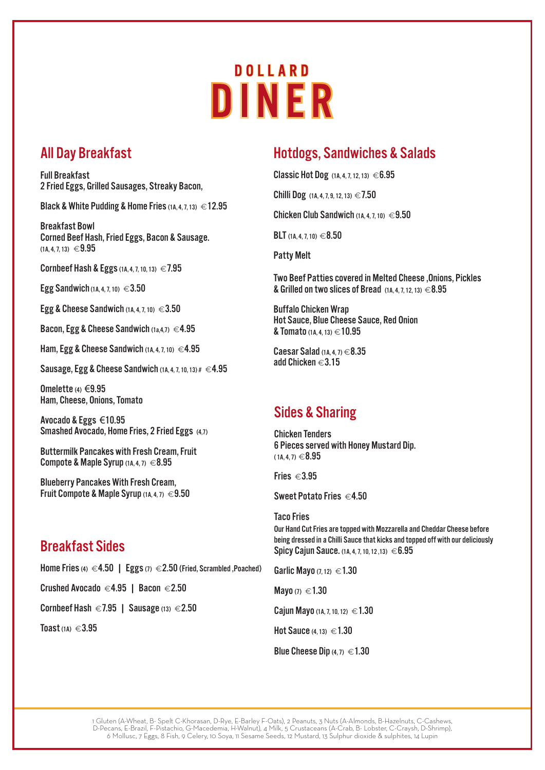# **DOLLARD** DINER

## All Day Breakfast

Full Breakfast 2 Fried Eggs, Grilled Sausages, Streaky Bacon,

Black & White Pudding & Home Fries  $(1A, 4, 7, 13) \in 12.95$ 

Breakfast Bowl Corned Beef Hash, Fried Eggs, Bacon & Sausage.  $(1A. 4. 7. 13) \in 9.95$ 

Cornbeef Hash & Eggs (1A, 4, 7, 10, 13)  $\in$  7.95

Egg Sandwich (1A, 4, 7, 10)  $\in$  3.50

Egg & Cheese Sandwich  $(1A, 4, 7, 10) \in 3.50$ 

Bacon, Egg & Cheese Sandwich  $(1a,4,7) \in 4.95$ 

Ham, Egg & Cheese Sandwich  $(1A, 4, 7, 10) \in 4.95$ 

Sausage, Egg & Cheese Sandwich  $(1A, 4, 7, 10, 13)$ #  $\in$  4.95

Omelette  $(4) \in 9.95$ Ham, Cheese, Onions, Tomato

Avocado & Eggs €10.95 Smashed Avocado, Home Fries, 2 Fried Eggs (4,7)

Buttermilk Pancakes with Fresh Cream, Fruit Compote & Maple Syrup  $(1A, 4, 7) \in 8.95$ 

Blueberry Pancakes With Fresh Cream, Fruit Compote & Maple Syrup  $(1A, 4, 7) \in 9.50$ 

### Breakfast Sides

Home Fries (4)  $\in$  4.50 | Eggs (7)  $\in$  2.50 (Fried, Scrambled ,Poached)

Crushed Avocado €4.95 | Bacon €2.50

Cornbeef Hash  $\in$  7.95 | Sausage (13)  $\in$  2.50

Toast  $(1A) \in 3.95$ 

## Hotdogs, Sandwiches & Salads

Classic Hot Dog  $(1A, 4, 7, 12, 13) \in 6.95$ 

Chilli Dog  $(1A, 4, 7, 9, 12, 13) \in 7.50$ 

Chicken Club Sandwich  $(1A, 4, 7, 10) \in 9.50$ 

BLT  $(1A, 4, 7, 10) \in 8.50$ 

Patty Melt

Two Beef Patties covered in Melted Cheese ,Onions, Pickles & Grilled on two slices of Bread  $(1A, 4, 7, 12, 13) \in 8.95$ 

Buffalo Chicken Wrap Hot Sauce, Blue Cheese Sauce, Red Onion & Tomato  $(1A, 4, 13) \in 10.95$ 

Caesar Salad  $(1A, 4, 7) \in 8.35$ add Chicken  $\in$  3.15

## Sides & Sharing

Chicken Tenders 6 Pieces served with Honey Mustard Dip.  $(1A.4.7) \in 8.95$ 

Spicy Cajun Sauce. (1A, 4, 7, 10, 12, 13)  $\in 6.95$ 

Fries  $\in$  3.95

Sweet Potato Fries  $\in$  4.50

Taco Fries Our Hand Cut Fries are topped with Mozzarella and Cheddar Cheese before being dressed in a Chilli Sauce that kicks and topped off with our deliciously

Garlic Mayo  $(7, 12) \in 1.30$ 

Mayo (7)  $\in$  1.30

Cajun Mayo (1A, 7, 10, 12)  $\in$  1.30

Hot Sauce  $(4, 13) \in 1.30$ 

Blue Cheese Dip  $(4, 7) \in 1.30$ 

1 Gluten (A-Wheat, B- Spelt C-Khorasan, D-Rye, E-Barley F-Oats), 2 Peanuts, 3 Nuts (A-Almonds, B-Hazelnuts, C-Cashews, D-Pecans, E-Brazil, F-Pistachio, G-Macedemia, H-Walnut), 4 Milk, 5 Crustaceans (A-Crab, B- Lobster, C-Craysh, D-Shrimp), 6 Mollusc, 7 Eggs, 8 Fish, 9 Celery, 10 Soya, 11 Sesame Seeds, 12 Mustard, 13 Sulphur dioxide & sulphites, 14 Lupin